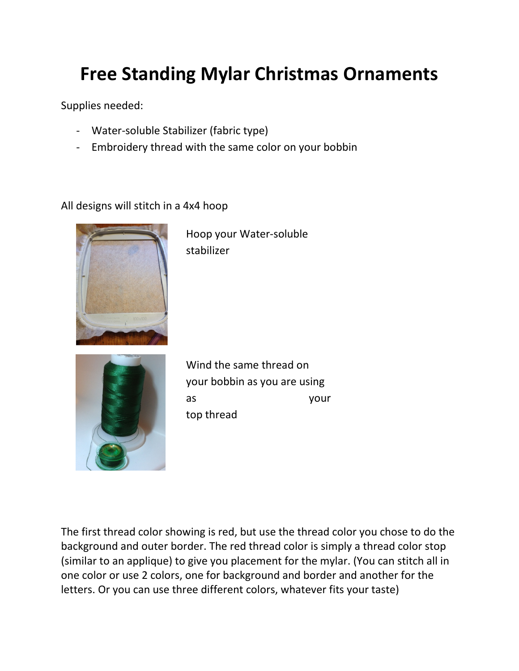## Free Standing Mylar Christmas Ornaments

Supplies needed:

- Water-soluble Stabilizer (fabric type)
- Embroidery thread with the same color on your bobbin

## All designs will stitch in a 4x4 hoop



Hoop your Water-soluble stabilizer



Wind the same thread on your bobbin as you are using as your top thread

The first thread color showing is red, but use the thread color you chose to do the background and outer border. The red thread color is simply a thread color stop (similar to an applique) to give you placement for the mylar. (You can stitch all in one color or use 2 colors, one for background and border and another for the letters. Or you can use three different colors, whatever fits your taste)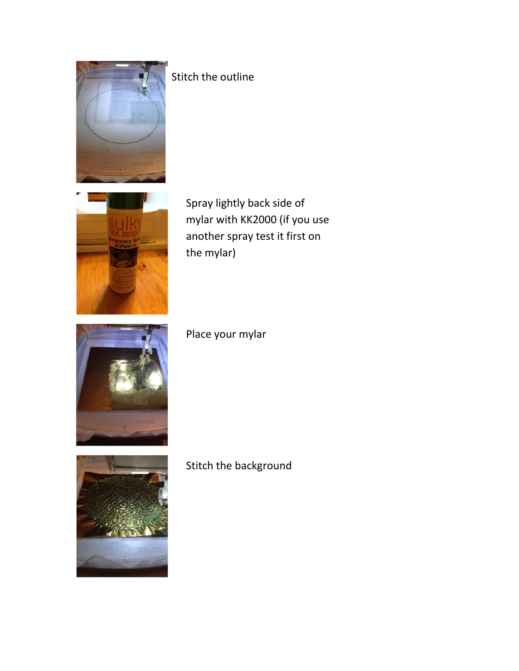

## Stitch the outline



Spray lightly back side of mylar with KK2000 (if you use another spray test it first on the mylar)



Place your mylar



Stitch the background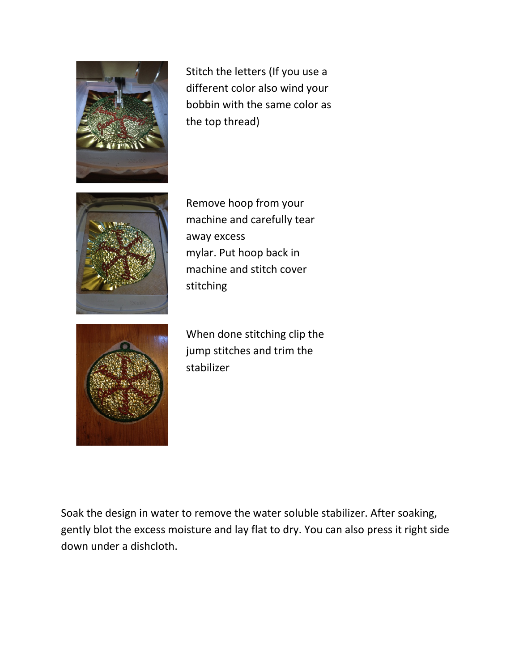

Stitch the letters (If you use a different color also wind your bobbin with the same color as the top thread)



Remove hoop from your machine and carefully tear away excess mylar. Put hoop back in machine and stitch cover stitching



When done stitching clip the jump stitches and trim the stabilizer

Soak the design in water to remove the water soluble stabilizer. After soaking, gently blot the excess moisture and lay flat to dry. You can also press it right side down under a dishcloth.